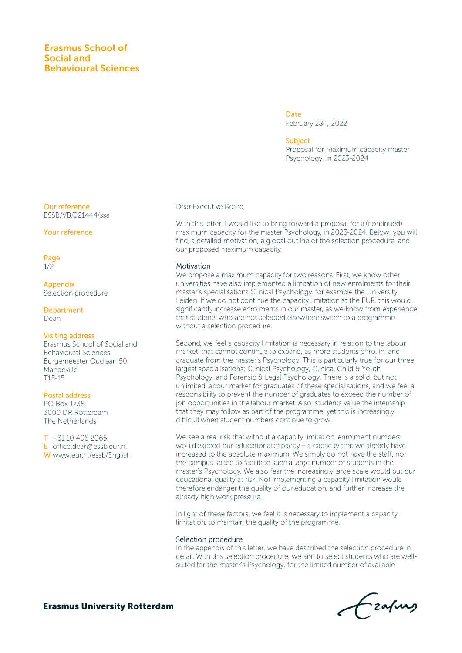## **Erasmus School of** Social and **Behavioural Sciences**

Date February 28th, 2022

#### **Subject**

Proposal for maximum capacity master Psychology, in 2023-2024

Our reference ESSB/VB/021444/ssa

Your reference

Page  $1/2$ 

Appendix Selection procedure

Department Dean

### **Visiting address**

Erasmus School of Social and **Behavioural Sciences** Burgemeester Oudlaan 50 Mandeville  $T15-15$ 

### Postal address

PO Box 1738 3000 DR Rotterdam The Netherlands

 $T$  +31 10 408 2065 E office.dean@essb.eur.nl W www.eur.nl/essb/English Dear Executive Board,

With this letter, I would like to bring forward a proposal for a (continued) maximum capacity for the master Psychology, in 2023-2024. Below, you will find, a detailed motivation, a global outline of the selection procedure, and our proposed maximum capacity.

#### Motivation

We propose a maximum capacity for two reasons. First, we know other universities have also implemented a limitation of new enrolments for their master's specialisations Clinical Psychology, for example the University Leiden. If we do not continue the capacity limitation at the EUR, this would significantly increase enrolments in our master, as we know from experience that students who are not selected elsewhere switch to a programme without a selection procedure.

Second, we feel a capacity limitation is necessary in relation to the labour market, that cannot continue to expand, as more students enrol in, and graduate from the master's Psychology. This is particularly true for our three largest specialisations: Clinical Psychology, Clinical Child & Youth Psychology, and Forensic & Legal Psychology. There is a solid, but not unlimited labour market for graduates of these specialisations, and we feel a responsibility to prevent the number of graduates to exceed the number of job opportunities in the labour market. Also, students value the internship that they may follow as part of the programme, yet this is increasingly difficult when student numbers continue to grow.

We see a real risk that without a capacity limitation, enrolment numbers would exceed our educational capacity - a capacity that we already have increased to the absolute maximum. We simply do not have the staff, nor the campus space to facilitate such a large number of students in the master's Psychology. We also fear the increasingly large scale would put our educational quality at risk. Not implementing a capacity limitation would therefore endanger the quality of our education, and further increase the already high work pressure.

In light of these factors, we feel it is necessary to implement a capacity limitation, to maintain the quality of the programme.

#### Selection procedure

In the appendix of this letter, we have described the selection procedure in detail. With this selection procedure, we aim to select students who are wellsuited for the master's Psychology, for the limited number of available

Frahay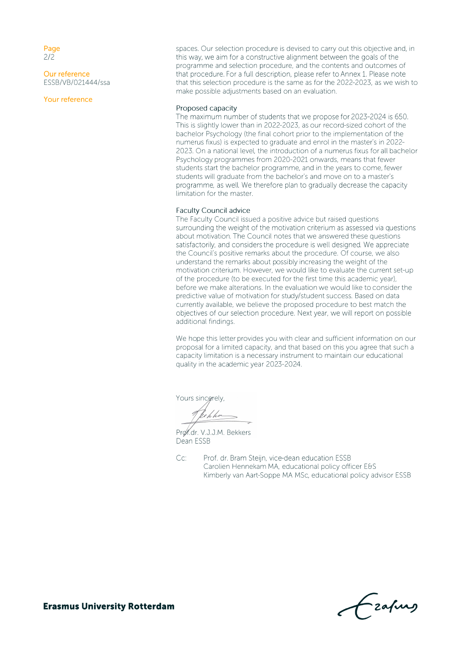Page  $2/2$ 

Our reference ESSB/VB/021444/ssa

Your reference

spaces. Our selection procedure is devised to carry out this objective and, in this way, we aim for a constructive alignment between the goals of the programme and selection procedure, and the contents and outcomes of that procedure. For a full description, please refer to Annex 1. Please note that this selection procedure is the same as for the 2022-2023, as we wish to make possible adjustments based on an evaluation.

### Proposed capacity

The maximum number of students that we propose for 2023-2024 is 650. This is slightly lower than in 2022-2023, as our record-sized cohort of the bachelor Psychology (the final cohort prior to the implementation of the numerus fixus) is expected to graduate and enrol in the master's in 2022-2023. On a national level, the introduction of a numerus fixus for all bachelor Psychology programmes from 2020-2021 onwards, means that fewer students start the bachelor programme, and in the years to come, fewer students will graduate from the bachelor's and move on to a master's programme, as well. We therefore plan to gradually decrease the capacity limitation for the master.

#### **Faculty Council advice**

The Faculty Council issued a positive advice but raised questions surrounding the weight of the motivation criterium as assessed via questions about motivation. The Council notes that we answered these questions satisfactorily, and considers the procedure is well designed. We appreciate the Council's positive remarks about the procedure. Of course, we also understand the remarks about possibly increasing the weight of the motivation criterium. However, we would like to evaluate the current set-up of the procedure (to be executed for the first time this academic year), before we make alterations. In the evaluation we would like to consider the predictive value of motivation for study/student success. Based on data currently available, we believe the proposed procedure to best match the objectives of our selection procedure. Next year, we will report on possible additional findings.

We hope this letter provides you with clear and sufficient information on our proposal for a limited capacity, and that based on this you agree that such a capacity limitation is a necessary instrument to maintain our educational quality in the academic year 2023-2024.

Yours sincerely.

Prof.dr. V.J.J.M. Bekkers Dean ESSB

Cc: Prof. dr. Bram Steijn, vice-dean education ESSB Carolien Hennekam MA, educational policy officer E&S Kimberly van Aart-Soppe MA MSc, educational policy advisor ESSB

-zafurs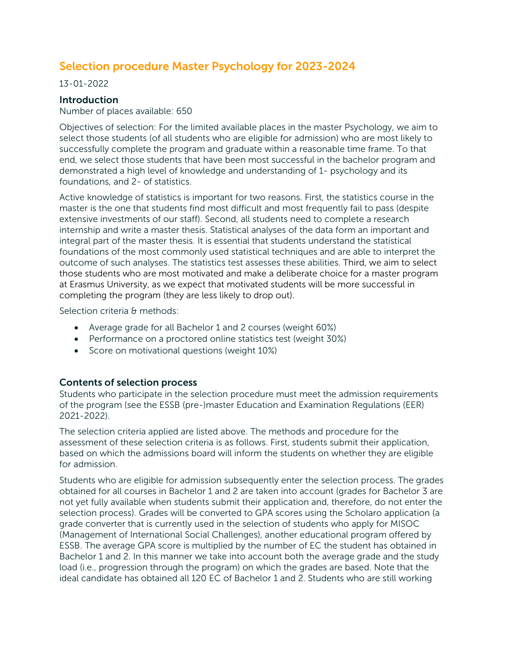# Selection procedure Master Psychology for 2023-2024

13-01-2022

## **Introduction**

Number of places available: 650

Objectives of selection: For the limited available places in the master Psychology, we aim to select those students (of all students who are eligible for admission) who are most likely to successfully complete the program and graduate within a reasonable time frame. To that end, we select those students that have been most successful in the bachelor program and demonstrated a high level of knowledge and understanding of 1- psychology and its foundations, and 2- of statistics.

Active knowledge of statistics is important for two reasons. First, the statistics course in the master is the one that students find most difficult and most frequently fail to pass (despite extensive investments of our staff). Second, all students need to complete a research internship and write a master thesis. Statistical analyses of the data form an important and integral part of the master thesis. It is essential that students understand the statistical foundations of the most commonly used statistical techniques and are able to interpret the outcome of such analyses. The statistics test assesses these abilities. Third, we aim to select those students who are most motivated and make a deliberate choice for a master program at Erasmus University, as we expect that motivated students will be more successful in completing the program (they are less likely to drop out).

Selection criteria & methods:

- Average grade for all Bachelor 1 and 2 courses (weight 60%)
- Performance on a proctored online statistics test (weight 30%)
- Score on motivational questions (weight 10%)

## Contents of selection process

Students who participate in the selection procedure must meet the admission requirements of the program (see the ESSB (pre-)master Education and Examination Regulations (EER) 2021-2022).

The selection criteria applied are listed above. The methods and procedure for the assessment of these selection criteria is as follows. First, students submit their application, based on which the admissions board will inform the students on whether they are eligible for admission.

Students who are eligible for admission subsequently enter the selection process. The grades obtained for all courses in Bachelor 1 and 2 are taken into account (grades for Bachelor 3 are not yet fully available when students submit their application and, therefore, do not enter the selection process). Grades will be converted to GPA scores using the Scholaro application (a grade converter that is currently used in the selection of students who apply for MISOC (Management of International Social Challenges), another educational program offered by ESSB. The average GPA score is multiplied by the number of EC the student has obtained in Bachelor 1 and 2. In this manner we take into account both the average grade and the study load (i.e., progression through the program) on which the grades are based. Note that the ideal candidate has obtained all 120 EC of Bachelor 1 and 2. Students who are still working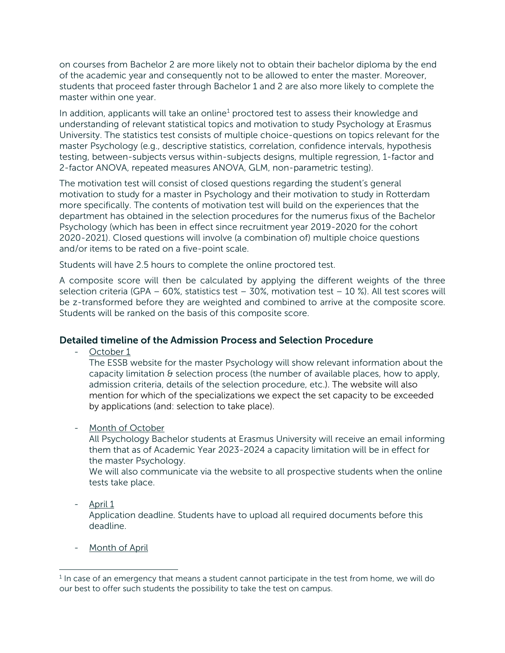on courses from Bachelor 2 are more likely not to obtain their bachelor diploma by the end of the academic year and consequently not to be allowed to enter the master. Moreover, students that proceed faster through Bachelor 1 and 2 are also more likely to complete the master within one year.

In addition, applicants will take an online<sup>1</sup> proctored test to assess their knowledge and understanding of relevant statistical topics and motivation to study Psychology at Erasmus University. The statistics test consists of multiple choice-questions on topics relevant for the master Psychology (e.g., descriptive statistics, correlation, confidence intervals, hypothesis testing, between-subjects versus within-subjects designs, multiple regression, 1-factor and 2-factor ANOVA, repeated measures ANOVA, GLM, non-parametric testing).

The motivation test will consist of closed questions regarding the student's general motivation to study for a master in Psychology and their motivation to study in Rotterdam more specifically. The contents of motivation test will build on the experiences that the department has obtained in the selection procedures for the numerus fixus of the Bachelor Psychology (which has been in effect since recruitment year 2019-2020 for the cohort 2020-2021). Closed questions will involve (a combination of) multiple choice questions and/or items to be rated on a five-point scale.

Students will have 2.5 hours to complete the online proctored test.

A composite score will then be calculated by applying the different weights of the three selection criteria (GPA – 60%, statistics test – 30%, motivation test – 10 %). All test scores will be z-transformed before they are weighted and combined to arrive at the composite score. Students will be ranked on the basis of this composite score.

## Detailed timeline of the Admission Process and Selection Procedure

October 1

The ESSB website for the master Psychology will show relevant information about the capacity limitation  $\theta$  selection process (the number of available places, how to apply, admission criteria, details of the selection procedure, etc.). The website will also mention for which of the specializations we expect the set capacity to be exceeded by applications (and: selection to take place).

- Month of October

All Psychology Bachelor students at Erasmus University will receive an email informing them that as of Academic Year 2023-2024 a capacity limitation will be in effect for the master Psychology.

We will also communicate via the website to all prospective students when the online tests take place.

- April 1

Application deadline. Students have to upload all required documents before this deadline.

- Month of April

<span id="page-3-0"></span> $<sup>1</sup>$  In case of an emergency that means a student cannot participate in the test from home, we will do</sup> our best to offer such students the possibility to take the test on campus.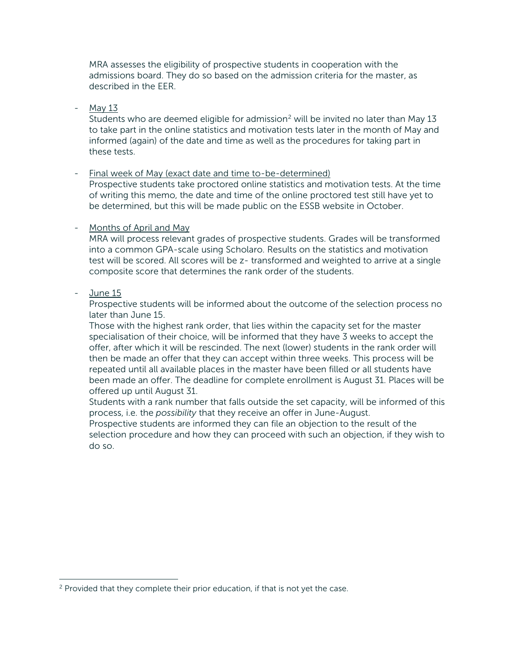MRA assesses the eligibility of prospective students in cooperation with the admissions board. They do so based on the admission criteria for the master, as described in the EER.

- May 13

Students who are deemed eligible for admission<sup>2</sup> will be invited no later than May 13 to take part in the online statistics and motivation tests later in the month of May and informed (again) of the date and time as well as the procedures for taking part in these tests.

- Final week of May (exact date and time to-be-determined)

Prospective students take proctored online statistics and motivation tests. At the time of writing this memo, the date and time of the online proctored test still have yet to be determined, but this will be made public on the ESSB website in October.

## - Months of April and May

MRA will process relevant grades of prospective students. Grades will be transformed into a common GPA-scale using Scholaro. Results on the statistics and motivation test will be scored. All scores will be z- transformed and weighted to arrive at a single composite score that determines the rank order of the students.

## - June 15

Prospective students will be informed about the outcome of the selection process no later than June 15.

Those with the highest rank order, that lies within the capacity set for the master specialisation of their choice, will be informed that they have 3 weeks to accept the offer, after which it will be rescinded. The next (lower) students in the rank order will then be made an offer that they can accept within three weeks. This process will be repeated until all available places in the master have been filled or all students have been made an offer. The deadline for complete enrollment is August 31. Places will be offered up until August 31.

Students with a rank number that falls outside the set capacity, will be informed of this process, i.e. the *possibility* that they receive an offer in June-August.

Prospective students are informed they can file an objection to the result of the selection procedure and how they can proceed with such an objection, if they wish to do so.

<span id="page-4-0"></span><sup>&</sup>lt;sup>2</sup> Provided that they complete their prior education, if that is not yet the case.